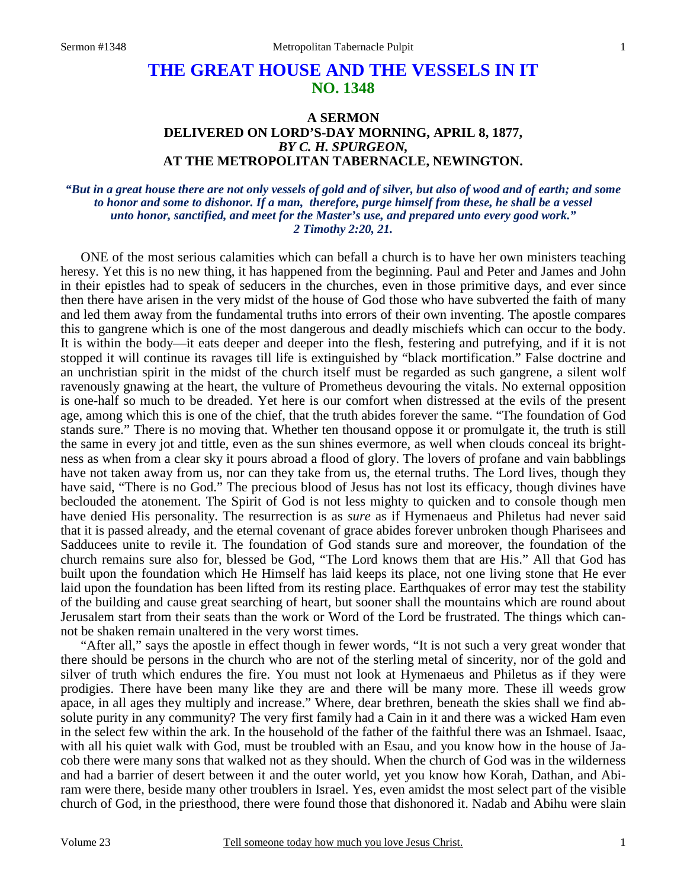# **THE GREAT HOUSE AND THE VESSELS IN IT NO. 1348**

## **A SERMON DELIVERED ON LORD'S-DAY MORNING, APRIL 8, 1877,**  *BY C. H. SPURGEON,*  **AT THE METROPOLITAN TABERNACLE, NEWINGTON.**

#### *"But in a great house there are not only vessels of gold and of silver, but also of wood and of earth; and some to honor and some to dishonor. If a man, therefore, purge himself from these, he shall be a vessel unto honor, sanctified, and meet for the Master's use, and prepared unto every good work." 2 Timothy 2:20, 21.*

ONE of the most serious calamities which can befall a church is to have her own ministers teaching heresy. Yet this is no new thing, it has happened from the beginning. Paul and Peter and James and John in their epistles had to speak of seducers in the churches, even in those primitive days, and ever since then there have arisen in the very midst of the house of God those who have subverted the faith of many and led them away from the fundamental truths into errors of their own inventing. The apostle compares this to gangrene which is one of the most dangerous and deadly mischiefs which can occur to the body. It is within the body—it eats deeper and deeper into the flesh, festering and putrefying, and if it is not stopped it will continue its ravages till life is extinguished by "black mortification." False doctrine and an unchristian spirit in the midst of the church itself must be regarded as such gangrene, a silent wolf ravenously gnawing at the heart, the vulture of Prometheus devouring the vitals. No external opposition is one-half so much to be dreaded. Yet here is our comfort when distressed at the evils of the present age, among which this is one of the chief, that the truth abides forever the same. "The foundation of God stands sure." There is no moving that. Whether ten thousand oppose it or promulgate it, the truth is still the same in every jot and tittle, even as the sun shines evermore, as well when clouds conceal its brightness as when from a clear sky it pours abroad a flood of glory. The lovers of profane and vain babblings have not taken away from us, nor can they take from us, the eternal truths. The Lord lives, though they have said, "There is no God." The precious blood of Jesus has not lost its efficacy, though divines have beclouded the atonement. The Spirit of God is not less mighty to quicken and to console though men have denied His personality. The resurrection is as *sure* as if Hymenaeus and Philetus had never said that it is passed already, and the eternal covenant of grace abides forever unbroken though Pharisees and Sadducees unite to revile it. The foundation of God stands sure and moreover, the foundation of the church remains sure also for, blessed be God, "The Lord knows them that are His." All that God has built upon the foundation which He Himself has laid keeps its place, not one living stone that He ever laid upon the foundation has been lifted from its resting place. Earthquakes of error may test the stability of the building and cause great searching of heart, but sooner shall the mountains which are round about Jerusalem start from their seats than the work or Word of the Lord be frustrated. The things which cannot be shaken remain unaltered in the very worst times.

"After all," says the apostle in effect though in fewer words, "It is not such a very great wonder that there should be persons in the church who are not of the sterling metal of sincerity, nor of the gold and silver of truth which endures the fire. You must not look at Hymenaeus and Philetus as if they were prodigies. There have been many like they are and there will be many more. These ill weeds grow apace, in all ages they multiply and increase." Where, dear brethren, beneath the skies shall we find absolute purity in any community? The very first family had a Cain in it and there was a wicked Ham even in the select few within the ark. In the household of the father of the faithful there was an Ishmael. Isaac, with all his quiet walk with God, must be troubled with an Esau, and you know how in the house of Jacob there were many sons that walked not as they should. When the church of God was in the wilderness and had a barrier of desert between it and the outer world, yet you know how Korah, Dathan, and Abiram were there, beside many other troublers in Israel. Yes, even amidst the most select part of the visible church of God, in the priesthood, there were found those that dishonored it. Nadab and Abihu were slain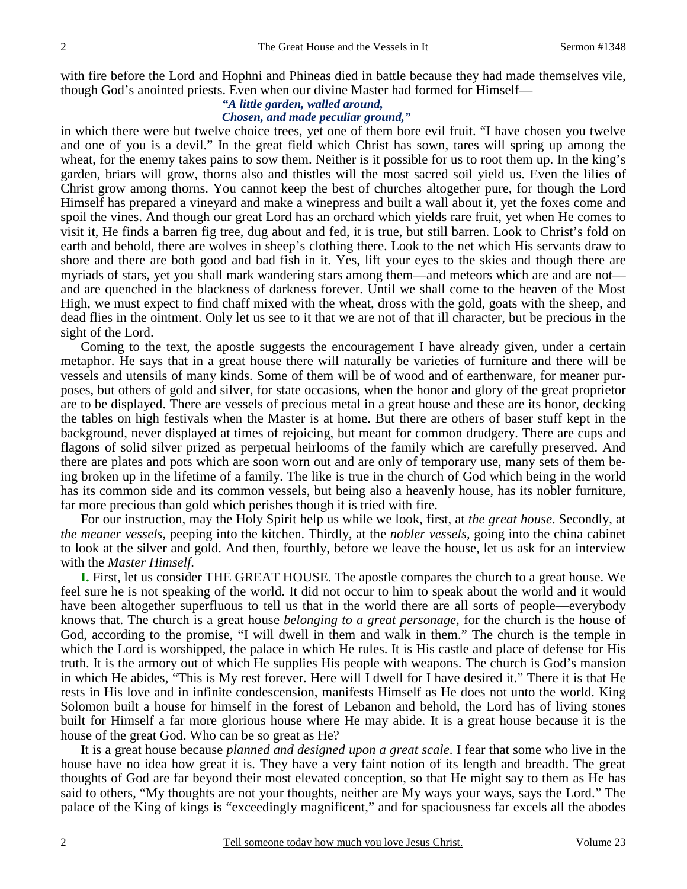with fire before the Lord and Hophni and Phineas died in battle because they had made themselves vile, though God's anointed priests. Even when our divine Master had formed for Himself—

## *"A little garden, walled around,*

#### *Chosen, and made peculiar ground,"*

in which there were but twelve choice trees, yet one of them bore evil fruit. "I have chosen you twelve and one of you is a devil." In the great field which Christ has sown, tares will spring up among the wheat, for the enemy takes pains to sow them. Neither is it possible for us to root them up. In the king's garden, briars will grow, thorns also and thistles will the most sacred soil yield us. Even the lilies of Christ grow among thorns. You cannot keep the best of churches altogether pure, for though the Lord Himself has prepared a vineyard and make a winepress and built a wall about it, yet the foxes come and spoil the vines. And though our great Lord has an orchard which yields rare fruit, yet when He comes to visit it, He finds a barren fig tree, dug about and fed, it is true, but still barren. Look to Christ's fold on earth and behold, there are wolves in sheep's clothing there. Look to the net which His servants draw to shore and there are both good and bad fish in it. Yes, lift your eyes to the skies and though there are myriads of stars, yet you shall mark wandering stars among them—and meteors which are and are not and are quenched in the blackness of darkness forever. Until we shall come to the heaven of the Most High, we must expect to find chaff mixed with the wheat, dross with the gold, goats with the sheep, and dead flies in the ointment. Only let us see to it that we are not of that ill character, but be precious in the sight of the Lord.

Coming to the text, the apostle suggests the encouragement I have already given, under a certain metaphor. He says that in a great house there will naturally be varieties of furniture and there will be vessels and utensils of many kinds. Some of them will be of wood and of earthenware, for meaner purposes, but others of gold and silver, for state occasions, when the honor and glory of the great proprietor are to be displayed. There are vessels of precious metal in a great house and these are its honor, decking the tables on high festivals when the Master is at home. But there are others of baser stuff kept in the background, never displayed at times of rejoicing, but meant for common drudgery. There are cups and flagons of solid silver prized as perpetual heirlooms of the family which are carefully preserved. And there are plates and pots which are soon worn out and are only of temporary use, many sets of them being broken up in the lifetime of a family. The like is true in the church of God which being in the world has its common side and its common vessels, but being also a heavenly house, has its nobler furniture, far more precious than gold which perishes though it is tried with fire.

For our instruction, may the Holy Spirit help us while we look, first, at *the great house*. Secondly, at *the meaner vessels,* peeping into the kitchen. Thirdly, at the *nobler vessels,* going into the china cabinet to look at the silver and gold. And then, fourthly, before we leave the house, let us ask for an interview with the *Master Himself*.

**I.** First, let us consider THE GREAT HOUSE. The apostle compares the church to a great house. We feel sure he is not speaking of the world. It did not occur to him to speak about the world and it would have been altogether superfluous to tell us that in the world there are all sorts of people—everybody knows that. The church is a great house *belonging to a great personage,* for the church is the house of God, according to the promise, "I will dwell in them and walk in them." The church is the temple in which the Lord is worshipped, the palace in which He rules. It is His castle and place of defense for His truth. It is the armory out of which He supplies His people with weapons. The church is God's mansion in which He abides, "This is My rest forever. Here will I dwell for I have desired it." There it is that He rests in His love and in infinite condescension, manifests Himself as He does not unto the world. King Solomon built a house for himself in the forest of Lebanon and behold, the Lord has of living stones built for Himself a far more glorious house where He may abide. It is a great house because it is the house of the great God. Who can be so great as He?

It is a great house because *planned and designed upon a great scale*. I fear that some who live in the house have no idea how great it is. They have a very faint notion of its length and breadth. The great thoughts of God are far beyond their most elevated conception, so that He might say to them as He has said to others, "My thoughts are not your thoughts, neither are My ways your ways, says the Lord." The palace of the King of kings is "exceedingly magnificent," and for spaciousness far excels all the abodes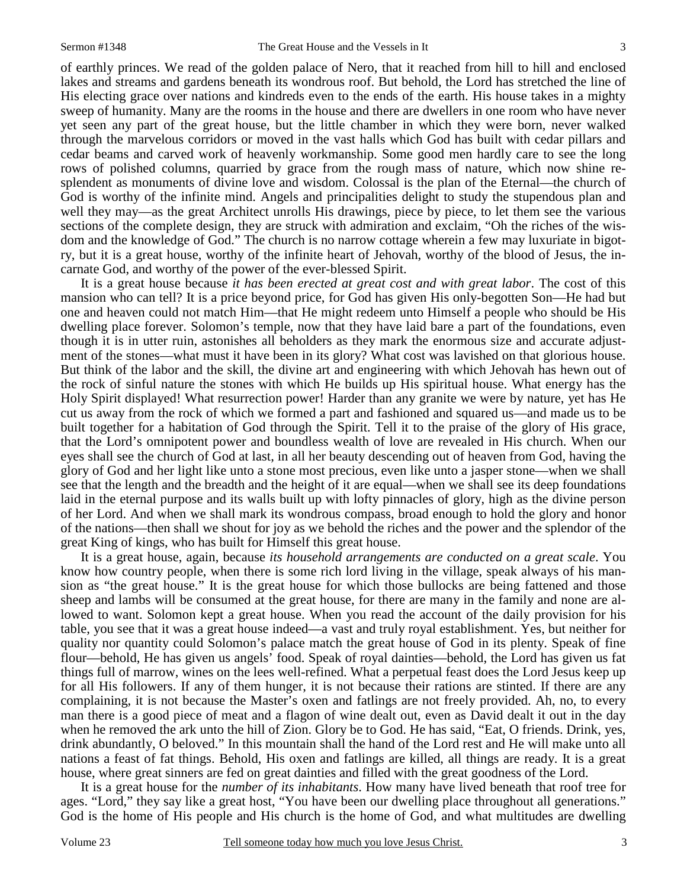of earthly princes. We read of the golden palace of Nero, that it reached from hill to hill and enclosed lakes and streams and gardens beneath its wondrous roof. But behold, the Lord has stretched the line of His electing grace over nations and kindreds even to the ends of the earth. His house takes in a mighty sweep of humanity. Many are the rooms in the house and there are dwellers in one room who have never yet seen any part of the great house, but the little chamber in which they were born, never walked through the marvelous corridors or moved in the vast halls which God has built with cedar pillars and cedar beams and carved work of heavenly workmanship. Some good men hardly care to see the long rows of polished columns, quarried by grace from the rough mass of nature, which now shine resplendent as monuments of divine love and wisdom. Colossal is the plan of the Eternal—the church of God is worthy of the infinite mind. Angels and principalities delight to study the stupendous plan and well they may—as the great Architect unrolls His drawings, piece by piece, to let them see the various sections of the complete design, they are struck with admiration and exclaim, "Oh the riches of the wisdom and the knowledge of God." The church is no narrow cottage wherein a few may luxuriate in bigotry, but it is a great house, worthy of the infinite heart of Jehovah, worthy of the blood of Jesus, the incarnate God, and worthy of the power of the ever-blessed Spirit.

It is a great house because *it has been erected at great cost and with great labor*. The cost of this mansion who can tell? It is a price beyond price, for God has given His only-begotten Son—He had but one and heaven could not match Him—that He might redeem unto Himself a people who should be His dwelling place forever. Solomon's temple, now that they have laid bare a part of the foundations, even though it is in utter ruin, astonishes all beholders as they mark the enormous size and accurate adjustment of the stones—what must it have been in its glory? What cost was lavished on that glorious house. But think of the labor and the skill, the divine art and engineering with which Jehovah has hewn out of the rock of sinful nature the stones with which He builds up His spiritual house. What energy has the Holy Spirit displayed! What resurrection power! Harder than any granite we were by nature, yet has He cut us away from the rock of which we formed a part and fashioned and squared us—and made us to be built together for a habitation of God through the Spirit. Tell it to the praise of the glory of His grace, that the Lord's omnipotent power and boundless wealth of love are revealed in His church. When our eyes shall see the church of God at last, in all her beauty descending out of heaven from God, having the glory of God and her light like unto a stone most precious, even like unto a jasper stone—when we shall see that the length and the breadth and the height of it are equal—when we shall see its deep foundations laid in the eternal purpose and its walls built up with lofty pinnacles of glory, high as the divine person of her Lord. And when we shall mark its wondrous compass, broad enough to hold the glory and honor of the nations—then shall we shout for joy as we behold the riches and the power and the splendor of the great King of kings, who has built for Himself this great house.

It is a great house, again, because *its household arrangements are conducted on a great scale*. You know how country people, when there is some rich lord living in the village, speak always of his mansion as "the great house." It is the great house for which those bullocks are being fattened and those sheep and lambs will be consumed at the great house, for there are many in the family and none are allowed to want. Solomon kept a great house. When you read the account of the daily provision for his table, you see that it was a great house indeed—a vast and truly royal establishment. Yes, but neither for quality nor quantity could Solomon's palace match the great house of God in its plenty. Speak of fine flour—behold, He has given us angels' food. Speak of royal dainties—behold, the Lord has given us fat things full of marrow, wines on the lees well-refined. What a perpetual feast does the Lord Jesus keep up for all His followers. If any of them hunger, it is not because their rations are stinted. If there are any complaining, it is not because the Master's oxen and fatlings are not freely provided. Ah, no, to every man there is a good piece of meat and a flagon of wine dealt out, even as David dealt it out in the day when he removed the ark unto the hill of Zion. Glory be to God. He has said, "Eat, O friends. Drink, yes, drink abundantly, O beloved." In this mountain shall the hand of the Lord rest and He will make unto all nations a feast of fat things. Behold, His oxen and fatlings are killed, all things are ready. It is a great house, where great sinners are fed on great dainties and filled with the great goodness of the Lord.

It is a great house for the *number of its inhabitants*. How many have lived beneath that roof tree for ages. "Lord," they say like a great host, "You have been our dwelling place throughout all generations." God is the home of His people and His church is the home of God, and what multitudes are dwelling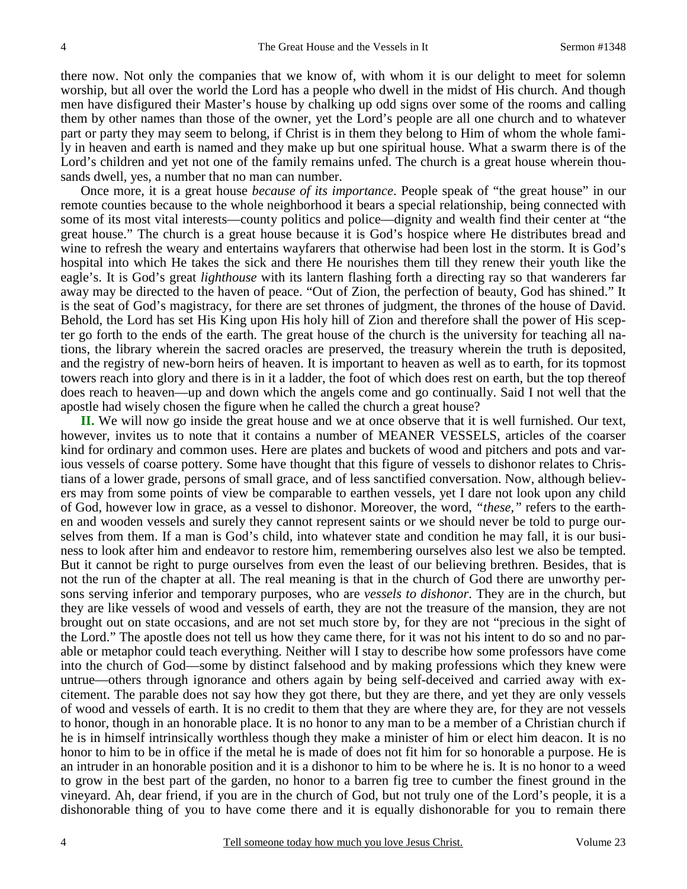there now. Not only the companies that we know of, with whom it is our delight to meet for solemn worship, but all over the world the Lord has a people who dwell in the midst of His church. And though men have disfigured their Master's house by chalking up odd signs over some of the rooms and calling them by other names than those of the owner, yet the Lord's people are all one church and to whatever part or party they may seem to belong, if Christ is in them they belong to Him of whom the whole family in heaven and earth is named and they make up but one spiritual house. What a swarm there is of the Lord's children and yet not one of the family remains unfed. The church is a great house wherein thousands dwell, yes, a number that no man can number.

Once more, it is a great house *because of its importance*. People speak of "the great house" in our remote counties because to the whole neighborhood it bears a special relationship, being connected with some of its most vital interests—county politics and police—dignity and wealth find their center at "the great house." The church is a great house because it is God's hospice where He distributes bread and wine to refresh the weary and entertains wayfarers that otherwise had been lost in the storm. It is God's hospital into which He takes the sick and there He nourishes them till they renew their youth like the eagle's. It is God's great *lighthouse* with its lantern flashing forth a directing ray so that wanderers far away may be directed to the haven of peace. "Out of Zion, the perfection of beauty, God has shined." It is the seat of God's magistracy, for there are set thrones of judgment, the thrones of the house of David. Behold, the Lord has set His King upon His holy hill of Zion and therefore shall the power of His scepter go forth to the ends of the earth. The great house of the church is the university for teaching all nations, the library wherein the sacred oracles are preserved, the treasury wherein the truth is deposited, and the registry of new-born heirs of heaven. It is important to heaven as well as to earth, for its topmost towers reach into glory and there is in it a ladder, the foot of which does rest on earth, but the top thereof does reach to heaven—up and down which the angels come and go continually. Said I not well that the apostle had wisely chosen the figure when he called the church a great house?

**II.** We will now go inside the great house and we at once observe that it is well furnished. Our text, however, invites us to note that it contains a number of MEANER VESSELS, articles of the coarser kind for ordinary and common uses. Here are plates and buckets of wood and pitchers and pots and various vessels of coarse pottery. Some have thought that this figure of vessels to dishonor relates to Christians of a lower grade, persons of small grace, and of less sanctified conversation. Now, although believers may from some points of view be comparable to earthen vessels, yet I dare not look upon any child of God, however low in grace, as a vessel to dishonor. Moreover, the word, *"these,"* refers to the earthen and wooden vessels and surely they cannot represent saints or we should never be told to purge ourselves from them. If a man is God's child, into whatever state and condition he may fall, it is our business to look after him and endeavor to restore him, remembering ourselves also lest we also be tempted. But it cannot be right to purge ourselves from even the least of our believing brethren. Besides, that is not the run of the chapter at all. The real meaning is that in the church of God there are unworthy persons serving inferior and temporary purposes, who are *vessels to dishonor*. They are in the church, but they are like vessels of wood and vessels of earth, they are not the treasure of the mansion, they are not brought out on state occasions, and are not set much store by, for they are not "precious in the sight of the Lord." The apostle does not tell us how they came there, for it was not his intent to do so and no parable or metaphor could teach everything. Neither will I stay to describe how some professors have come into the church of God—some by distinct falsehood and by making professions which they knew were untrue—others through ignorance and others again by being self-deceived and carried away with excitement. The parable does not say how they got there, but they are there, and yet they are only vessels of wood and vessels of earth. It is no credit to them that they are where they are, for they are not vessels to honor, though in an honorable place. It is no honor to any man to be a member of a Christian church if he is in himself intrinsically worthless though they make a minister of him or elect him deacon. It is no honor to him to be in office if the metal he is made of does not fit him for so honorable a purpose. He is an intruder in an honorable position and it is a dishonor to him to be where he is. It is no honor to a weed to grow in the best part of the garden, no honor to a barren fig tree to cumber the finest ground in the vineyard. Ah, dear friend, if you are in the church of God, but not truly one of the Lord's people, it is a dishonorable thing of you to have come there and it is equally dishonorable for you to remain there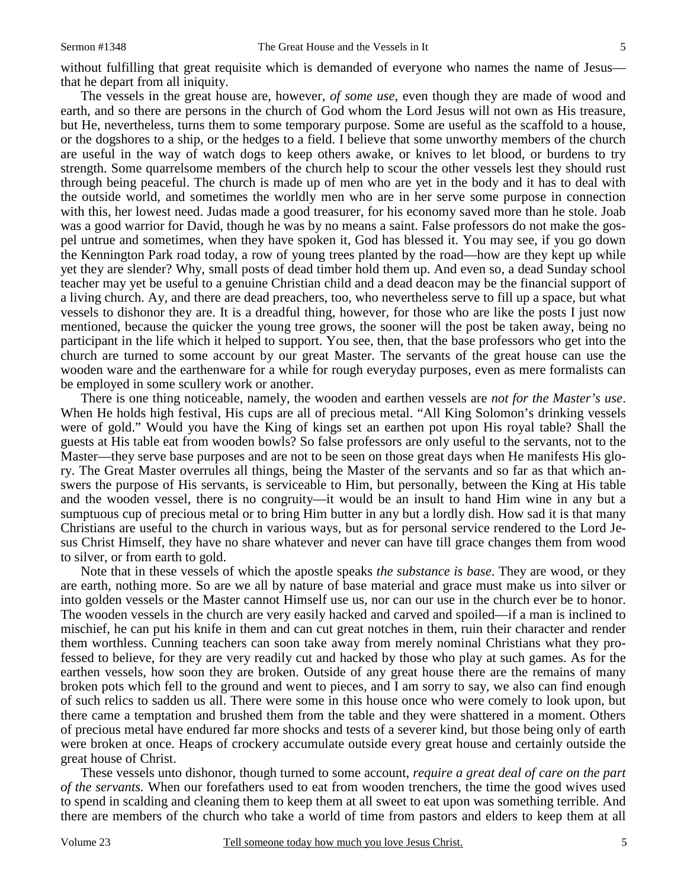without fulfilling that great requisite which is demanded of everyone who names the name of Jesus that he depart from all iniquity.

The vessels in the great house are, however, *of some use,* even though they are made of wood and earth, and so there are persons in the church of God whom the Lord Jesus will not own as His treasure, but He, nevertheless, turns them to some temporary purpose. Some are useful as the scaffold to a house, or the dogshores to a ship, or the hedges to a field. I believe that some unworthy members of the church are useful in the way of watch dogs to keep others awake, or knives to let blood, or burdens to try strength. Some quarrelsome members of the church help to scour the other vessels lest they should rust through being peaceful. The church is made up of men who are yet in the body and it has to deal with the outside world, and sometimes the worldly men who are in her serve some purpose in connection with this, her lowest need. Judas made a good treasurer, for his economy saved more than he stole. Joab was a good warrior for David, though he was by no means a saint. False professors do not make the gospel untrue and sometimes, when they have spoken it, God has blessed it. You may see, if you go down the Kennington Park road today, a row of young trees planted by the road—how are they kept up while yet they are slender? Why, small posts of dead timber hold them up. And even so, a dead Sunday school teacher may yet be useful to a genuine Christian child and a dead deacon may be the financial support of a living church. Ay, and there are dead preachers, too, who nevertheless serve to fill up a space, but what vessels to dishonor they are. It is a dreadful thing, however, for those who are like the posts I just now mentioned, because the quicker the young tree grows, the sooner will the post be taken away, being no participant in the life which it helped to support. You see, then, that the base professors who get into the church are turned to some account by our great Master. The servants of the great house can use the wooden ware and the earthenware for a while for rough everyday purposes, even as mere formalists can be employed in some scullery work or another.

There is one thing noticeable, namely, the wooden and earthen vessels are *not for the Master's use*. When He holds high festival, His cups are all of precious metal. "All King Solomon's drinking vessels were of gold." Would you have the King of kings set an earthen pot upon His royal table? Shall the guests at His table eat from wooden bowls? So false professors are only useful to the servants, not to the Master—they serve base purposes and are not to be seen on those great days when He manifests His glory. The Great Master overrules all things, being the Master of the servants and so far as that which answers the purpose of His servants, is serviceable to Him, but personally, between the King at His table and the wooden vessel, there is no congruity—it would be an insult to hand Him wine in any but a sumptuous cup of precious metal or to bring Him butter in any but a lordly dish. How sad it is that many Christians are useful to the church in various ways, but as for personal service rendered to the Lord Jesus Christ Himself, they have no share whatever and never can have till grace changes them from wood to silver, or from earth to gold.

Note that in these vessels of which the apostle speaks *the substance is base*. They are wood, or they are earth, nothing more. So are we all by nature of base material and grace must make us into silver or into golden vessels or the Master cannot Himself use us, nor can our use in the church ever be to honor. The wooden vessels in the church are very easily hacked and carved and spoiled—if a man is inclined to mischief, he can put his knife in them and can cut great notches in them, ruin their character and render them worthless. Cunning teachers can soon take away from merely nominal Christians what they professed to believe, for they are very readily cut and hacked by those who play at such games. As for the earthen vessels, how soon they are broken. Outside of any great house there are the remains of many broken pots which fell to the ground and went to pieces, and I am sorry to say, we also can find enough of such relics to sadden us all. There were some in this house once who were comely to look upon, but there came a temptation and brushed them from the table and they were shattered in a moment. Others of precious metal have endured far more shocks and tests of a severer kind, but those being only of earth were broken at once. Heaps of crockery accumulate outside every great house and certainly outside the great house of Christ.

These vessels unto dishonor, though turned to some account, *require a great deal of care on the part of the servants.* When our forefathers used to eat from wooden trenchers, the time the good wives used to spend in scalding and cleaning them to keep them at all sweet to eat upon was something terrible. And there are members of the church who take a world of time from pastors and elders to keep them at all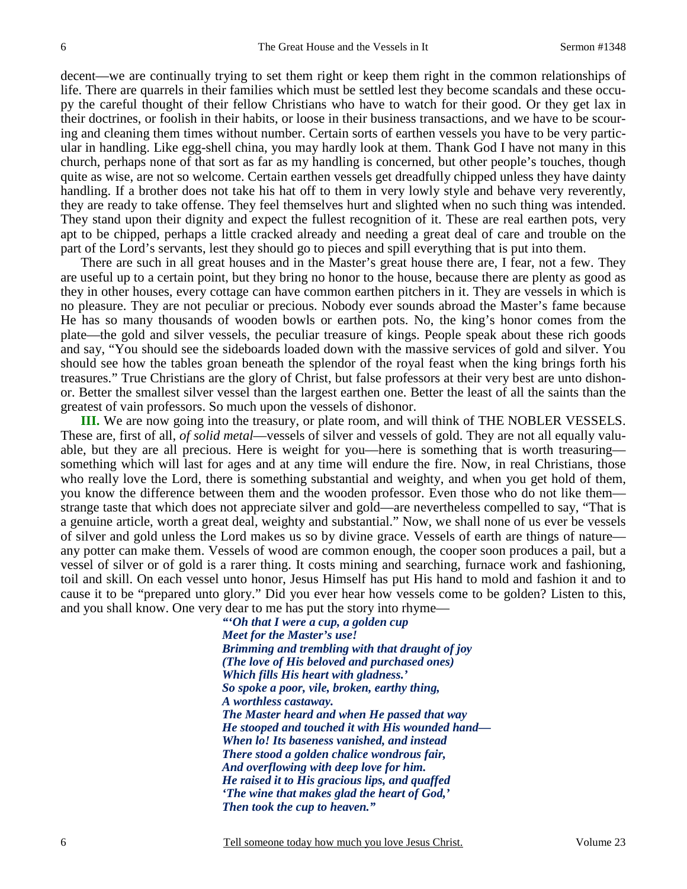decent—we are continually trying to set them right or keep them right in the common relationships of life. There are quarrels in their families which must be settled lest they become scandals and these occupy the careful thought of their fellow Christians who have to watch for their good. Or they get lax in their doctrines, or foolish in their habits, or loose in their business transactions, and we have to be scouring and cleaning them times without number. Certain sorts of earthen vessels you have to be very particular in handling. Like egg-shell china, you may hardly look at them. Thank God I have not many in this church, perhaps none of that sort as far as my handling is concerned, but other people's touches, though quite as wise, are not so welcome. Certain earthen vessels get dreadfully chipped unless they have dainty handling. If a brother does not take his hat off to them in very lowly style and behave very reverently, they are ready to take offense. They feel themselves hurt and slighted when no such thing was intended. They stand upon their dignity and expect the fullest recognition of it. These are real earthen pots, very apt to be chipped, perhaps a little cracked already and needing a great deal of care and trouble on the part of the Lord's servants, lest they should go to pieces and spill everything that is put into them.

There are such in all great houses and in the Master's great house there are, I fear, not a few. They are useful up to a certain point, but they bring no honor to the house, because there are plenty as good as they in other houses, every cottage can have common earthen pitchers in it. They are vessels in which is no pleasure. They are not peculiar or precious. Nobody ever sounds abroad the Master's fame because He has so many thousands of wooden bowls or earthen pots. No, the king's honor comes from the plate—the gold and silver vessels, the peculiar treasure of kings. People speak about these rich goods and say, "You should see the sideboards loaded down with the massive services of gold and silver. You should see how the tables groan beneath the splendor of the royal feast when the king brings forth his treasures." True Christians are the glory of Christ, but false professors at their very best are unto dishonor. Better the smallest silver vessel than the largest earthen one. Better the least of all the saints than the greatest of vain professors. So much upon the vessels of dishonor.

**III.** We are now going into the treasury, or plate room, and will think of THE NOBLER VESSELS. These are, first of all, *of solid metal*—vessels of silver and vessels of gold. They are not all equally valuable, but they are all precious. Here is weight for you—here is something that is worth treasuring something which will last for ages and at any time will endure the fire. Now, in real Christians, those who really love the Lord, there is something substantial and weighty, and when you get hold of them, you know the difference between them and the wooden professor. Even those who do not like them strange taste that which does not appreciate silver and gold—are nevertheless compelled to say, "That is a genuine article, worth a great deal, weighty and substantial." Now, we shall none of us ever be vessels of silver and gold unless the Lord makes us so by divine grace. Vessels of earth are things of nature any potter can make them. Vessels of wood are common enough, the cooper soon produces a pail, but a vessel of silver or of gold is a rarer thing. It costs mining and searching, furnace work and fashioning, toil and skill. On each vessel unto honor, Jesus Himself has put His hand to mold and fashion it and to cause it to be "prepared unto glory." Did you ever hear how vessels come to be golden? Listen to this, and you shall know. One very dear to me has put the story into rhyme—

> *"'Oh that I were a cup, a golden cup Meet for the Master's use! Brimming and trembling with that draught of joy (The love of His beloved and purchased ones) Which fills His heart with gladness.' So spoke a poor, vile, broken, earthy thing, A worthless castaway. The Master heard and when He passed that way He stooped and touched it with His wounded hand— When lo! Its baseness vanished, and instead There stood a golden chalice wondrous fair, And overflowing with deep love for him. He raised it to His gracious lips, and quaffed 'The wine that makes glad the heart of God,' Then took the cup to heaven."*

6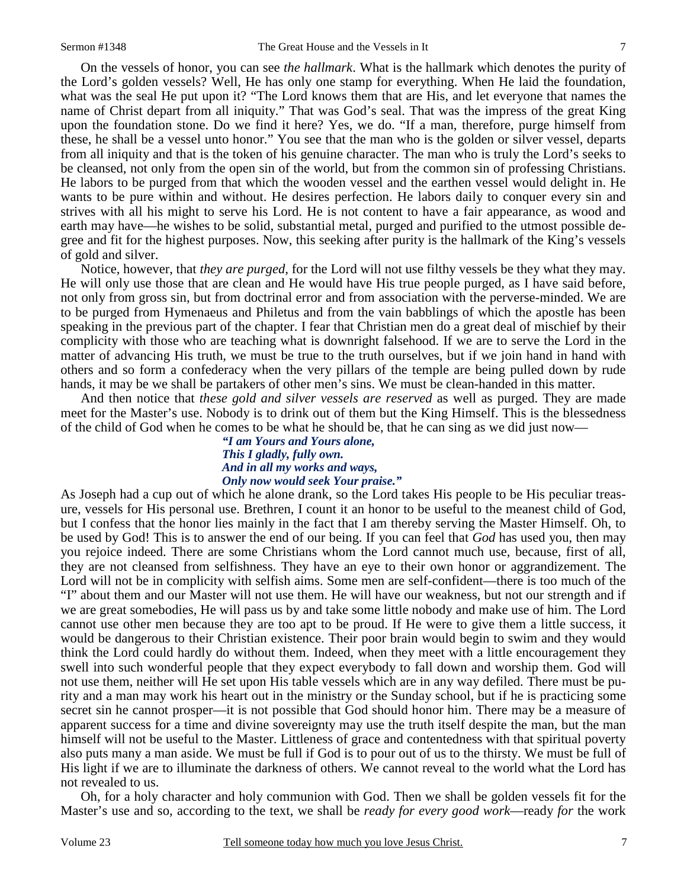7

 On the vessels of honor, you can see *the hallmark*. What is the hallmark which denotes the purity of the Lord's golden vessels? Well, He has only one stamp for everything. When He laid the foundation, what was the seal He put upon it? "The Lord knows them that are His, and let everyone that names the name of Christ depart from all iniquity." That was God's seal. That was the impress of the great King upon the foundation stone. Do we find it here? Yes, we do. "If a man, therefore, purge himself from these, he shall be a vessel unto honor." You see that the man who is the golden or silver vessel, departs from all iniquity and that is the token of his genuine character. The man who is truly the Lord's seeks to be cleansed, not only from the open sin of the world, but from the common sin of professing Christians. He labors to be purged from that which the wooden vessel and the earthen vessel would delight in. He wants to be pure within and without. He desires perfection. He labors daily to conquer every sin and strives with all his might to serve his Lord. He is not content to have a fair appearance, as wood and earth may have—he wishes to be solid, substantial metal, purged and purified to the utmost possible degree and fit for the highest purposes. Now, this seeking after purity is the hallmark of the King's vessels of gold and silver.

 Notice, however, that *they are purged,* for the Lord will not use filthy vessels be they what they may. He will only use those that are clean and He would have His true people purged, as I have said before, not only from gross sin, but from doctrinal error and from association with the perverse-minded. We are to be purged from Hymenaeus and Philetus and from the vain babblings of which the apostle has been speaking in the previous part of the chapter. I fear that Christian men do a great deal of mischief by their complicity with those who are teaching what is downright falsehood. If we are to serve the Lord in the matter of advancing His truth, we must be true to the truth ourselves, but if we join hand in hand with others and so form a confederacy when the very pillars of the temple are being pulled down by rude hands, it may be we shall be partakers of other men's sins. We must be clean-handed in this matter.

 And then notice that *these gold and silver vessels are reserved* as well as purged. They are made meet for the Master's use. Nobody is to drink out of them but the King Himself. This is the blessedness of the child of God when he comes to be what he should be, that he can sing as we did just now—

> *"I am Yours and Yours alone, This I gladly, fully own. And in all my works and ways, Only now would seek Your praise."*

As Joseph had a cup out of which he alone drank, so the Lord takes His people to be His peculiar treasure, vessels for His personal use. Brethren, I count it an honor to be useful to the meanest child of God, but I confess that the honor lies mainly in the fact that I am thereby serving the Master Himself. Oh, to be used by God! This is to answer the end of our being. If you can feel that *God* has used you, then may you rejoice indeed. There are some Christians whom the Lord cannot much use, because, first of all, they are not cleansed from selfishness. They have an eye to their own honor or aggrandizement. The Lord will not be in complicity with selfish aims. Some men are self-confident—there is too much of the "I" about them and our Master will not use them. He will have our weakness, but not our strength and if we are great somebodies, He will pass us by and take some little nobody and make use of him. The Lord cannot use other men because they are too apt to be proud. If He were to give them a little success, it would be dangerous to their Christian existence. Their poor brain would begin to swim and they would think the Lord could hardly do without them. Indeed, when they meet with a little encouragement they swell into such wonderful people that they expect everybody to fall down and worship them. God will not use them, neither will He set upon His table vessels which are in any way defiled. There must be purity and a man may work his heart out in the ministry or the Sunday school, but if he is practicing some secret sin he cannot prosper—it is not possible that God should honor him. There may be a measure of apparent success for a time and divine sovereignty may use the truth itself despite the man, but the man himself will not be useful to the Master. Littleness of grace and contentedness with that spiritual poverty also puts many a man aside. We must be full if God is to pour out of us to the thirsty. We must be full of His light if we are to illuminate the darkness of others. We cannot reveal to the world what the Lord has not revealed to us.

 Oh, for a holy character and holy communion with God. Then we shall be golden vessels fit for the Master's use and so, according to the text, we shall be *ready for every good work*—ready *for* the work